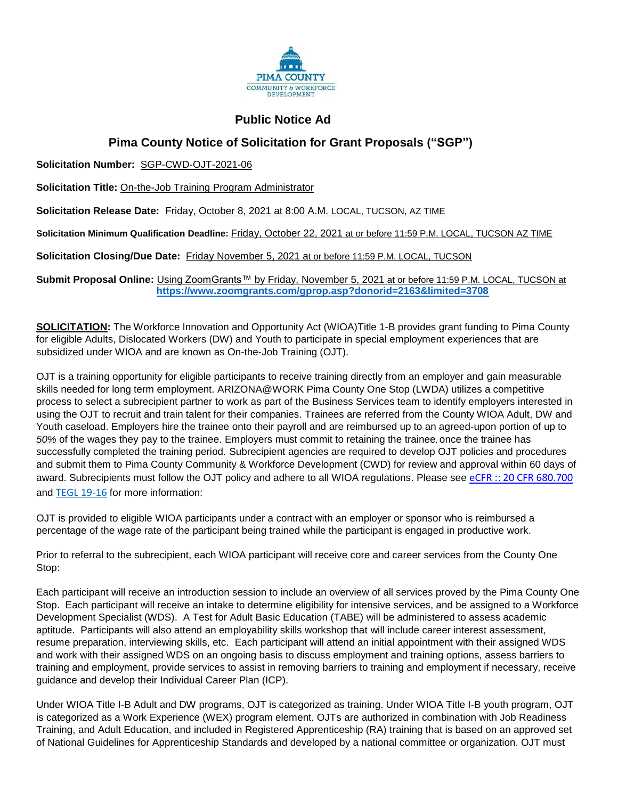

## **Public Notice Ad**

## **Pima County Notice of Solicitation for Grant Proposals ("SGP")**

**Solicitation Number:** SGP-CWD-OJT-2021-06

**Solicitation Title:** On-the-Job Training Program Administrator

**Solicitation Release Date:** Friday, October 8, 2021 at 8:00 A.M. LOCAL, TUCSON, AZ TIME

**Solicitation Minimum Qualification Deadline:** Friday, October 22, 2021 at or before 11:59 P.M. LOCAL, TUCSON AZ TIME

**Solicitation Closing/Due Date:** Friday November 5, 2021 at or before 11:59 P.M. LOCAL, TUCSON

**Submit Proposal Online:** Using ZoomGrants™ by Friday, November 5, 2021 at or before 11:59 P.M. LOCAL, TUCSON at **<https://www.zoomgrants.com/gprop.asp?donorid=2163&limited=3708>**

**SOLICITATION:** The Workforce Innovation and Opportunity Act (WIOA)Title 1-B provides grant funding to Pima County for eligible Adults, Dislocated Workers (DW) and Youth to participate in special employment experiences that are subsidized under WIOA and are known as On-the-Job Training (OJT).

OJT is a training opportunity for eligible participants to receive training directly from an employer and gain measurable skills needed for long term employment. ARIZONA@WORK Pima County One Stop (LWDA) utilizes a competitive process to select a subrecipient partner to work as part of the Business Services team to identify employers interested in using the OJT to recruit and train talent for their companies. Trainees are referred from the County WIOA Adult, DW and Youth caseload. Employers hire the trainee onto their payroll and are reimbursed up to an agreed-upon portion of up to *50%* of the wages they pay to the trainee. Employers must commit to retaining the trainee, once the trainee has successfully completed the training period. Subrecipient agencies are required to develop OJT policies and procedures and submit them to Pima County Community & Workforce Development (CWD) for review and approval within 60 days of award. Subrecipients must follow the OJT policy and adhere to all WIOA regulations. Please see [eCFR :: 20 CFR 680.700](https://www.ecfr.gov/current/title-20/chapter-V/part-680/subpart-F/section-680.700) and [TEGL 19-16](https://wdr.doleta.gov/directives/corr_doc.cfm?docn=3851) for more information:

OJT is provided to eligible WIOA participants under a contract with an employer or sponsor who is reimbursed a percentage of the wage rate of the participant being trained while the participant is engaged in productive work.

Prior to referral to the subrecipient, each WIOA participant will receive core and career services from the County One Stop:

Each participant will receive an introduction session to include an overview of all services proved by the Pima County One Stop. Each participant will receive an intake to determine eligibility for intensive services, and be assigned to a Workforce Development Specialist (WDS). A Test for Adult Basic Education (TABE) will be administered to assess academic aptitude. Participants will also attend an employability skills workshop that will include career interest assessment, resume preparation, interviewing skills, etc. Each participant will attend an initial appointment with their assigned WDS and work with their assigned WDS on an ongoing basis to discuss employment and training options, assess barriers to training and employment, provide services to assist in removing barriers to training and employment if necessary, receive guidance and develop their Individual Career Plan (ICP).

Under WIOA Title I-B Adult and DW programs, OJT is categorized as training. Under WIOA Title I-B youth program, OJT is categorized as a Work Experience (WEX) program element. OJTs are authorized in combination with Job Readiness Training, and Adult Education, and included in Registered Apprenticeship (RA) training that is based on an approved set of National Guidelines for Apprenticeship Standards and developed by a national committee or organization. OJT must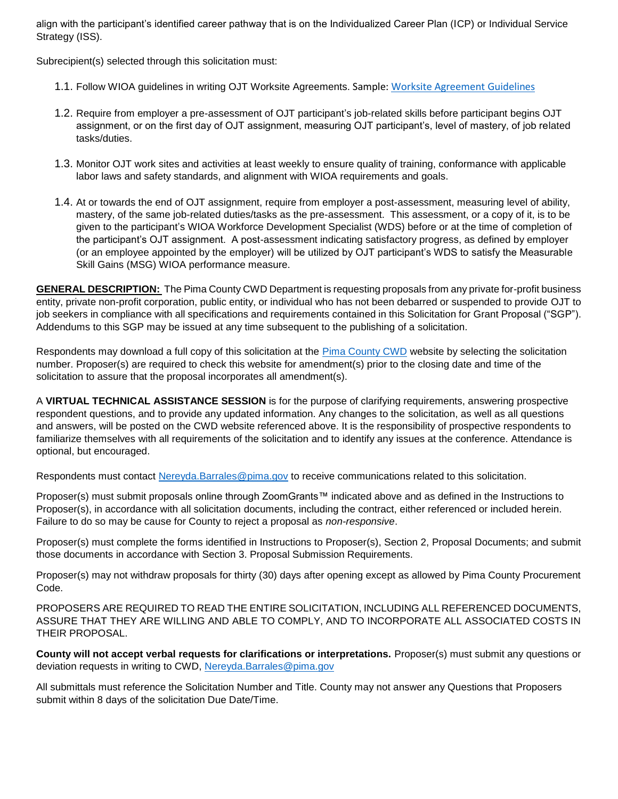align with the participant's identified career pathway that is on the Individualized Career Plan (ICP) or Individual Service Strategy (ISS).

Subrecipient(s) selected through this solicitation must:

- 1.1. Follow WIOA guidelines in writing OJT Worksite Agreements. Sample[: Worksite Agreement Guidelines](file:///C:/Users/u107451/Downloads/Appendix%20B_Worksite%20Agreement%5b1%5d.pdf)
- 1.2. Require from employer a pre-assessment of OJT participant's job-related skills before participant begins OJT assignment, or on the first day of OJT assignment, measuring OJT participant's, level of mastery, of job related tasks/duties.
- 1.3. Monitor OJT work sites and activities at least weekly to ensure quality of training, conformance with applicable labor laws and safety standards, and alignment with WIOA requirements and goals.
- 1.4. At or towards the end of OJT assignment, require from employer a post-assessment, measuring level of ability, mastery, of the same job-related duties/tasks as the pre-assessment. This assessment, or a copy of it, is to be given to the participant's WIOA Workforce Development Specialist (WDS) before or at the time of completion of the participant's OJT assignment. A post-assessment indicating satisfactory progress, as defined by employer (or an employee appointed by the employer) will be utilized by OJT participant's WDS to satisfy the Measurable Skill Gains (MSG) WIOA performance measure.

**GENERAL DESCRIPTION:** The Pima County CWD Department is requesting proposals from any private for-profit business entity, private non-profit corporation, public entity, or individual who has not been debarred or suspended to provide OJT to job seekers in compliance with all specifications and requirements contained in this Solicitation for Grant Proposal ("SGP"). Addendums to this SGP may be issued at any time subsequent to the publishing of a solicitation.

Respondents may download a full copy of this solicitation at the [Pima County CWD](http://webcms.pima.gov/cms/one.aspx?portalId=169&pageId=24903) website by selecting the solicitation number. Proposer(s) are required to check this website for amendment(s) prior to the closing date and time of the solicitation to assure that the proposal incorporates all amendment(s).

A **VIRTUAL TECHNICAL ASSISTANCE SESSION** is for the purpose of clarifying requirements, answering prospective respondent questions, and to provide any updated information. Any changes to the solicitation, as well as all questions and answers, will be posted on the CWD website referenced above. It is the responsibility of prospective respondents to familiarize themselves with all requirements of the solicitation and to identify any issues at the conference. Attendance is optional, but encouraged.

Respondents must contact [Nereyda.Barrales@pima.gov](mailto:Nereyda.Barrales@pima.gov) to receive communications related to this solicitation.

Proposer(s) must submit proposals online through ZoomGrants™ indicated above and as defined in the Instructions to Proposer(s), in accordance with all solicitation documents, including the contract, either referenced or included herein. Failure to do so may be cause for County to reject a proposal as *non-responsive*.

Proposer(s) must complete the forms identified in Instructions to Proposer(s), Section 2, Proposal Documents; and submit those documents in accordance with Section 3. Proposal Submission Requirements.

Proposer(s) may not withdraw proposals for thirty (30) days after opening except as allowed by Pima County Procurement Code.

PROPOSERS ARE REQUIRED TO READ THE ENTIRE SOLICITATION, INCLUDING ALL REFERENCED DOCUMENTS, ASSURE THAT THEY ARE WILLING AND ABLE TO COMPLY, AND TO INCORPORATE ALL ASSOCIATED COSTS IN THEIR PROPOSAL.

**County will not accept verbal requests for clarifications or interpretations.** Proposer(s) must submit any questions or deviation requests in writing to CWD, [Nereyda.Barrales@pima.gov](mailto:Nereyda.Barrales@pima.gov)

All submittals must reference the Solicitation Number and Title. County may not answer any Questions that Proposers submit within 8 days of the solicitation Due Date/Time.